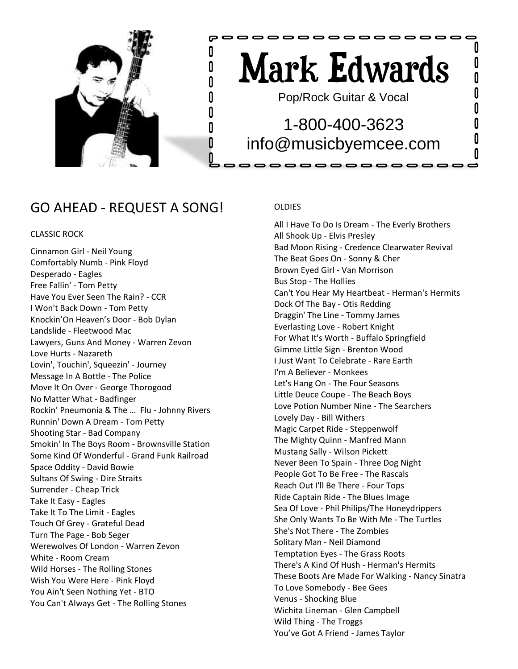

# Mark Edwards

0000000000000000

Pop/Rock Guitar & Vocal

## 1-800-400-3623 info@musicbyemcee.com

, , , , , , , , , , , , , , ,

### GO AHEAD - REQUEST A SONG!

#### CLASSIC ROCK

Cinnamon Girl - Neil Young Comfortably Numb - Pink Floyd Desperado - Eagles Free Fallin' - Tom Petty Have You Ever Seen The Rain? - CCR I Won't Back Down - Tom Petty Knockin'On Heaven's Door - Bob Dylan Landslide - Fleetwood Mac Lawyers, Guns And Money - Warren Zevon Love Hurts - Nazareth Lovin', Touchin', Squeezin' - Journey Message In A Bottle - The Police Move It On Over - George Thorogood No Matter What - Badfinger Rockin' Pneumonia & The … Flu - Johnny Rivers Runnin' Down A Dream - Tom Petty Shooting Star - Bad Company Smokin' In The Boys Room - Brownsville Station Some Kind Of Wonderful - Grand Funk Railroad Space Oddity - David Bowie Sultans Of Swing - Dire Straits Surrender - Cheap Trick Take It Easy - Eagles Take It To The Limit - Eagles Touch Of Grey - Grateful Dead Turn The Page - Bob Seger Werewolves Of London - Warren Zevon White - Room Cream Wild Horses - The Rolling Stones Wish You Were Here - Pink Floyd You Ain't Seen Nothing Yet - BTO You Can't Always Get - The Rolling Stones

#### **OLDIES**

e 0  $\mathsf{n}$ U

Λ U

> All I Have To Do Is Dream - The Everly Brothers All Shook Up - Elvis Presley Bad Moon Rising - Credence Clearwater Revival The Beat Goes On - Sonny & Cher Brown Eyed Girl - Van Morrison Bus Stop - The Hollies Can't You Hear My Heartbeat - Herman's Hermits Dock Of The Bay - Otis Redding Draggin' The Line - Tommy James Everlasting Love - Robert Knight For What It's Worth - Buffalo Springfield Gimme Little Sign - Brenton Wood I Just Want To Celebrate - Rare Earth I'm A Believer - Monkees Let's Hang On - The Four Seasons Little Deuce Coupe - The Beach Boys Love Potion Number Nine - The Searchers Lovely Day - Bill Withers Magic Carpet Ride - Steppenwolf The Mighty Quinn - Manfred Mann Mustang Sally - Wilson Pickett Never Been To Spain - Three Dog Night People Got To Be Free - The Rascals Reach Out I'll Be There - Four Tops Ride Captain Ride - The Blues Image Sea Of Love - Phil Philips/The Honeydrippers She Only Wants To Be With Me - The Turtles She's Not There - The Zombies Solitary Man - Neil Diamond Temptation Eyes - The Grass Roots There's A Kind Of Hush - Herman's Hermits These Boots Are Made For Walking - Nancy Sinatra To Love Somebody - Bee Gees Venus - Shocking Blue Wichita Lineman - Glen Campbell Wild Thing - The Troggs You've Got A Friend - James Taylor